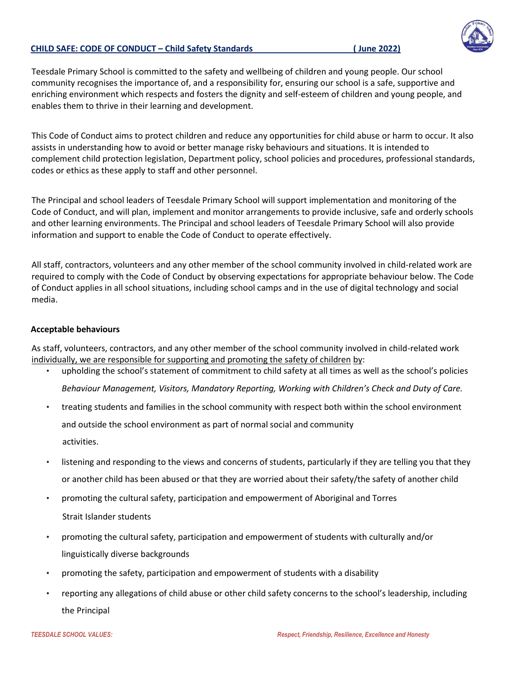## **CHILD SAFE: CODE OF CONDUCT – Child Safety Standards ( June 2022)**

Teesdale Primary School is committed to the safety and wellbeing of children and young people. Our school community recognises the importance of, and a responsibility for, ensuring our school is a safe, supportive and enriching environment which respects and fosters the dignity and self-esteem of children and young people, and enables them to thrive in their learning and development.

This Code of Conduct aims to protect children and reduce any opportunities for child abuse or harm to occur. It also assists in understanding how to avoid or better manage risky behaviours and situations. It is intended to complement child protection legislation, Department policy, school policies and procedures, professional standards, codes or ethics as these apply to staff and other personnel.

The Principal and school leaders of Teesdale Primary School will support implementation and monitoring of the Code of Conduct, and will plan, implement and monitor arrangements to provide inclusive, safe and orderly schools and other learning environments. The Principal and school leaders of Teesdale Primary School will also provide information and support to enable the Code of Conduct to operate effectively.

All staff, contractors, volunteers and any other member of the school community involved in child-related work are required to comply with the Code of Conduct by observing expectations for appropriate behaviour below. The Code of Conduct applies in all school situations, including school camps and in the use of digital technology and social media.

## **Acceptable behaviours**

As staff, volunteers, contractors, and any other member of the school community involved in child-related work individually, we are responsible for supporting and promoting the safety of children by:

- upholding the school's statement of commitment to child safety at all times as well as the school's policies *Behaviour Management, Visitors, Mandatory Reporting, Working with Children's Check and Duty of Care.*
- treating students and families in the school community with respect both within the school environment and outside the school environment as part of normal social and community activities.
- listening and responding to the views and concerns of students, particularly if they are telling you that they or another child has been abused or that they are worried about their safety/the safety of another child
- promoting the cultural safety, participation and empowerment of Aboriginal and Torres Strait Islander students
- promoting the cultural safety, participation and empowerment of students with culturally and/or linguistically diverse backgrounds
- promoting the safety, participation and empowerment of students with a disability
- reporting any allegations of child abuse or other child safety concerns to the school's leadership, including the Principal

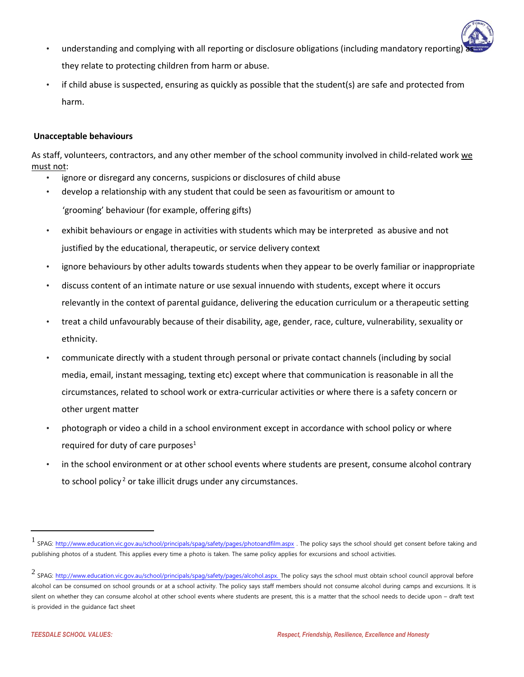- understanding and complying with all reporting or disclosure obligations (including mandatory reporting they relate to protecting children from harm or abuse.
- if child abuse is suspected, ensuring as quickly as possible that the student(s) are safe and protected from harm.

## **Unacceptable behaviours**

As staff, volunteers, contractors, and any other member of the school community involved in child-related work we must not:

- ignore or disregard any concerns, suspicions or disclosures of child abuse
- develop a relationship with any student that could be seen as favouritism or amount to 'grooming' behaviour (for example, offering gifts)
- exhibit behaviours or engage in activities with students which may be interpreted as abusive and not justified by the educational, therapeutic, or service delivery context
- ignore behaviours by other adults towards students when they appear to be overly familiar or inappropriate
- discuss content of an intimate nature or use sexual innuendo with students, except where it occurs relevantly in the context of parental guidance, delivering the education curriculum or a therapeutic setting
- treat a child unfavourably because of their disability, age, gender, race, culture, vulnerability, sexuality or ethnicity.
- communicate directly with a student through personal or private contact channels (including by social media, email, instant messaging, texting etc) except where that communication is reasonable in all the circumstances, related to school work or extra-curricular activities or where there is a safety concern or other urgent matter
- photograph or video a child in a school environment except in accordance with school policy or where required for duty of care purposes<sup>1</sup>
- in the school environment or at other school events where students are present, consume alcohol contrary to school policy<sup>2</sup> or take illicit drugs under any circumstances.

<sup>1</sup> SPAG:<http://www.education.vic.gov.au/school/principals/spag/safety/pages/photoandfilm.aspx> [.](http://www.education.vic.gov.au/school/principals/spag/safety/pages/photoandfilm.aspx) The policy says the school should get consent before taking and publishing photos of a student. This applies every time a photo is taken. The same policy applies for excursions and school activities.

<sup>2</sup> SPAG: [http://www.education.vic.gov.au/school/principals/spag/safety/pages/alcohol.aspx. T](http://www.education.vic.gov.au/school/principals/spag/safety/pages/alcohol.aspx)he policy says the school must obtain school council approval before alcohol can be consumed on school grounds or at a school activity. The policy says staff members should not consume alcohol during camps and excursions. It is silent on whether they can consume alcohol at other school events where students are present, this is a matter that the school needs to decide upon - draft text is provided in the guidance fact sheet